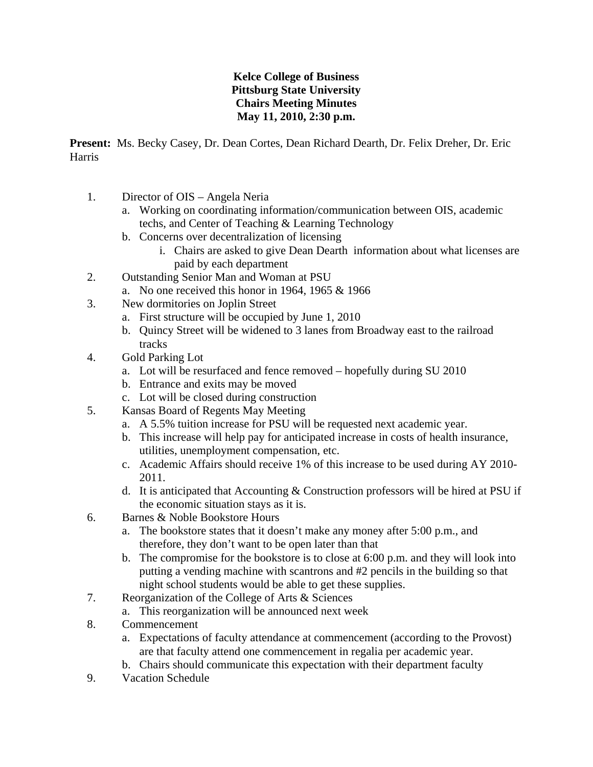## **Kelce College of Business Pittsburg State University Chairs Meeting Minutes May 11, 2010, 2:30 p.m.**

**Present:** Ms. Becky Casey, Dr. Dean Cortes, Dean Richard Dearth, Dr. Felix Dreher, Dr. Eric Harris

- 1. Director of OIS Angela Neria
	- a. Working on coordinating information/communication between OIS, academic techs, and Center of Teaching & Learning Technology
	- b. Concerns over decentralization of licensing
		- i. Chairs are asked to give Dean Dearth information about what licenses are paid by each department
- 2. Outstanding Senior Man and Woman at PSU
	- a. No one received this honor in 1964, 1965 & 1966
- 3. New dormitories on Joplin Street
	- a. First structure will be occupied by June 1, 2010
	- b. Quincy Street will be widened to 3 lanes from Broadway east to the railroad tracks
- 4. Gold Parking Lot
	- a. Lot will be resurfaced and fence removed hopefully during SU 2010
	- b. Entrance and exits may be moved
	- c. Lot will be closed during construction
- 5. Kansas Board of Regents May Meeting
	- a. A 5.5% tuition increase for PSU will be requested next academic year.
	- b. This increase will help pay for anticipated increase in costs of health insurance, utilities, unemployment compensation, etc.
	- c. Academic Affairs should receive 1% of this increase to be used during AY 2010- 2011.
	- d. It is anticipated that Accounting & Construction professors will be hired at PSU if the economic situation stays as it is.
- 6. Barnes & Noble Bookstore Hours
	- a. The bookstore states that it doesn't make any money after 5:00 p.m., and therefore, they don't want to be open later than that
	- b. The compromise for the bookstore is to close at 6:00 p.m. and they will look into putting a vending machine with scantrons and #2 pencils in the building so that night school students would be able to get these supplies.
- 7. Reorganization of the College of Arts & Sciences
	- a. This reorganization will be announced next week
- 8. Commencement
	- a. Expectations of faculty attendance at commencement (according to the Provost) are that faculty attend one commencement in regalia per academic year.
	- b. Chairs should communicate this expectation with their department faculty
- 9. Vacation Schedule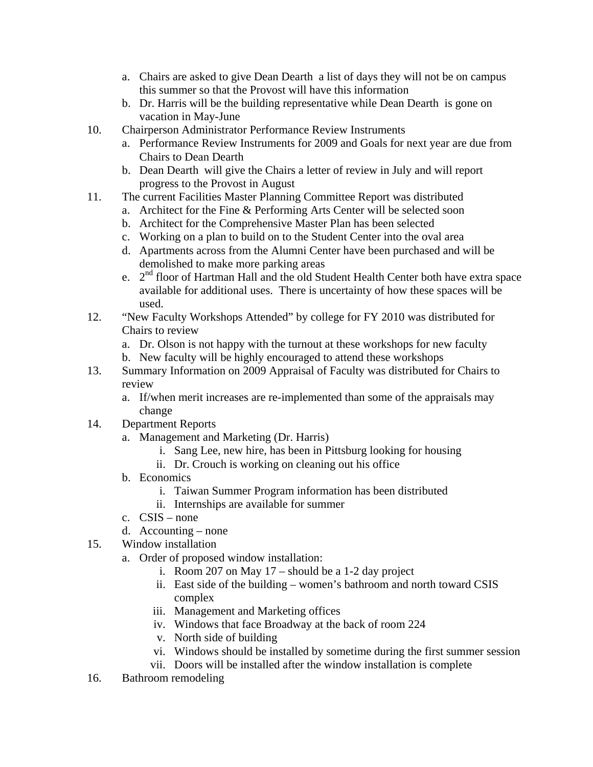- a. Chairs are asked to give Dean Dearth a list of days they will not be on campus this summer so that the Provost will have this information
- b. Dr. Harris will be the building representative while Dean Dearth is gone on vacation in May-June
- 10. Chairperson Administrator Performance Review Instruments
	- a. Performance Review Instruments for 2009 and Goals for next year are due from Chairs to Dean Dearth
	- b. Dean Dearth will give the Chairs a letter of review in July and will report progress to the Provost in August
- 11. The current Facilities Master Planning Committee Report was distributed
	- a. Architect for the Fine & Performing Arts Center will be selected soon
	- b. Architect for the Comprehensive Master Plan has been selected
	- c. Working on a plan to build on to the Student Center into the oval area
	- d. Apartments across from the Alumni Center have been purchased and will be demolished to make more parking areas
	- e. 2nd floor of Hartman Hall and the old Student Health Center both have extra space available for additional uses. There is uncertainty of how these spaces will be used.
- 12. "New Faculty Workshops Attended" by college for FY 2010 was distributed for Chairs to review
	- a. Dr. Olson is not happy with the turnout at these workshops for new faculty
	- b. New faculty will be highly encouraged to attend these workshops
- 13. Summary Information on 2009 Appraisal of Faculty was distributed for Chairs to review
	- a. If/when merit increases are re-implemented than some of the appraisals may change
- 14. Department Reports
	- a. Management and Marketing (Dr. Harris)
		- i. Sang Lee, new hire, has been in Pittsburg looking for housing
		- ii. Dr. Crouch is working on cleaning out his office
	- b. Economics
		- i. Taiwan Summer Program information has been distributed
		- ii. Internships are available for summer
	- c. CSIS none
	- d. Accounting none
- 15. Window installation
	- a. Order of proposed window installation:
		- i. Room 207 on May 17 should be a 1-2 day project
		- ii. East side of the building women's bathroom and north toward CSIS complex
		- iii. Management and Marketing offices
		- iv. Windows that face Broadway at the back of room 224
		- v. North side of building
		- vi. Windows should be installed by sometime during the first summer session
		- vii. Doors will be installed after the window installation is complete
- 16. Bathroom remodeling